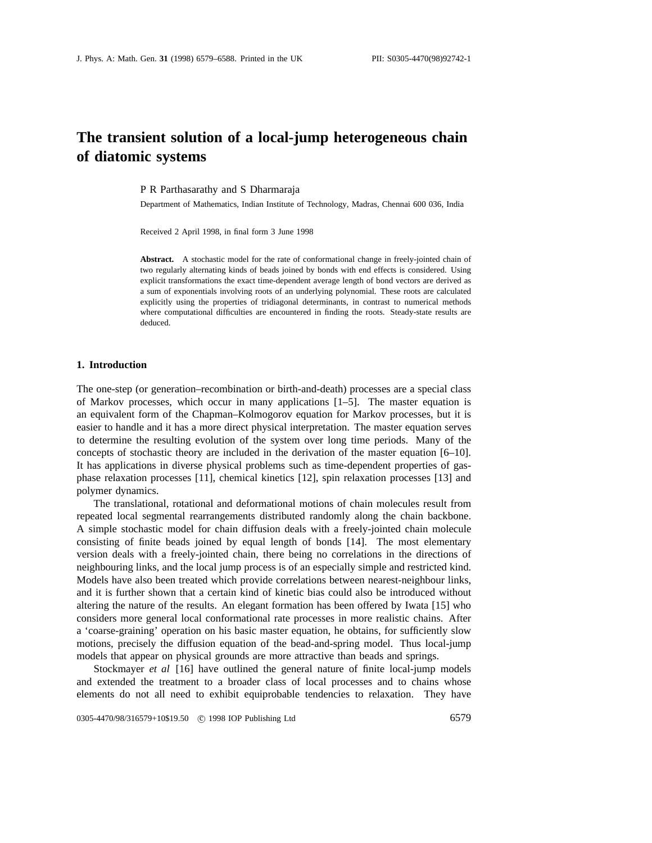# **The transient solution of a local-jump heterogeneous chain of diatomic systems**

P R Parthasarathy and S Dharmaraja

Department of Mathematics, Indian Institute of Technology, Madras, Chennai 600 036, India

Received 2 April 1998, in final form 3 June 1998

**Abstract.** A stochastic model for the rate of conformational change in freely-jointed chain of two regularly alternating kinds of beads joined by bonds with end effects is considered. Using explicit transformations the exact time-dependent average length of bond vectors are derived as a sum of exponentials involving roots of an underlying polynomial. These roots are calculated explicitly using the properties of tridiagonal determinants, in contrast to numerical methods where computational difficulties are encountered in finding the roots. Steady-state results are deduced.

#### **1. Introduction**

The one-step (or generation–recombination or birth-and-death) processes are a special class of Markov processes, which occur in many applications  $[1-5]$ . The master equation is an equivalent form of the Chapman–Kolmogorov equation for Markov processes, but it is easier to handle and it has a more direct physical interpretation. The master equation serves to determine the resulting evolution of the system over long time periods. Many of the concepts of stochastic theory are included in the derivation of the master equation [6–10]. It has applications in diverse physical problems such as time-dependent properties of gasphase relaxation processes [11], chemical kinetics [12], spin relaxation processes [13] and polymer dynamics.

The translational, rotational and deformational motions of chain molecules result from repeated local segmental rearrangements distributed randomly along the chain backbone. A simple stochastic model for chain diffusion deals with a freely-jointed chain molecule consisting of finite beads joined by equal length of bonds [14]. The most elementary version deals with a freely-jointed chain, there being no correlations in the directions of neighbouring links, and the local jump process is of an especially simple and restricted kind. Models have also been treated which provide correlations between nearest-neighbour links, and it is further shown that a certain kind of kinetic bias could also be introduced without altering the nature of the results. An elegant formation has been offered by Iwata [15] who considers more general local conformational rate processes in more realistic chains. After a 'coarse-graining' operation on his basic master equation, he obtains, for sufficiently slow motions, precisely the diffusion equation of the bead-and-spring model. Thus local-jump models that appear on physical grounds are more attractive than beads and springs.

Stockmayer *et al* [16] have outlined the general nature of finite local-jump models and extended the treatment to a broader class of local processes and to chains whose elements do not all need to exhibit equiprobable tendencies to relaxation. They have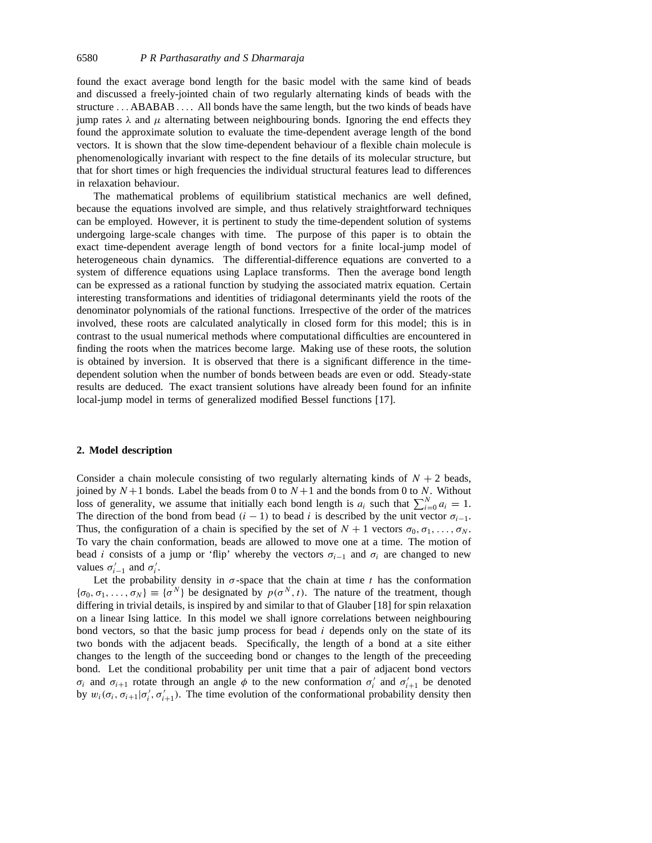found the exact average bond length for the basic model with the same kind of beads and discussed a freely-jointed chain of two regularly alternating kinds of beads with the structure *...* ABABAB *...* . All bonds have the same length, but the two kinds of beads have jump rates  $\lambda$  and  $\mu$  alternating between neighbouring bonds. Ignoring the end effects they found the approximate solution to evaluate the time-dependent average length of the bond vectors. It is shown that the slow time-dependent behaviour of a flexible chain molecule is phenomenologically invariant with respect to the fine details of its molecular structure, but that for short times or high frequencies the individual structural features lead to differences in relaxation behaviour.

The mathematical problems of equilibrium statistical mechanics are well defined, because the equations involved are simple, and thus relatively straightforward techniques can be employed. However, it is pertinent to study the time-dependent solution of systems undergoing large-scale changes with time. The purpose of this paper is to obtain the exact time-dependent average length of bond vectors for a finite local-jump model of heterogeneous chain dynamics. The differential-difference equations are converted to a system of difference equations using Laplace transforms. Then the average bond length can be expressed as a rational function by studying the associated matrix equation. Certain interesting transformations and identities of tridiagonal determinants yield the roots of the denominator polynomials of the rational functions. Irrespective of the order of the matrices involved, these roots are calculated analytically in closed form for this model; this is in contrast to the usual numerical methods where computational difficulties are encountered in finding the roots when the matrices become large. Making use of these roots, the solution is obtained by inversion. It is observed that there is a significant difference in the timedependent solution when the number of bonds between beads are even or odd. Steady-state results are deduced. The exact transient solutions have already been found for an infinite local-jump model in terms of generalized modified Bessel functions [17].

## **2. Model description**

Consider a chain molecule consisting of two regularly alternating kinds of  $N + 2$  beads, joined by  $N+1$  bonds. Label the beads from 0 to  $N+1$  and the bonds from 0 to N. Without loss of generality, we assume that initially each bond length is  $a_i$  such that  $\sum_{i=0}^{N} a_i = 1$ . The direction of the bond from bead  $(i - 1)$  to bead *i* is described by the unit vector  $\sigma_{i-1}$ . Thus, the configuration of a chain is specified by the set of  $N + 1$  vectors  $\sigma_0, \sigma_1, \ldots, \sigma_N$ . To vary the chain conformation, beads are allowed to move one at a time. The motion of bead *i* consists of a jump or 'flip' whereby the vectors  $\sigma_{i-1}$  and  $\sigma_i$  are changed to new values  $\sigma'_{i-1}$  and  $\sigma'_{i}$ .

Let the probability density in  $\sigma$ -space that the chain at time *t* has the conformation  ${\sigma_0, \sigma_1, \ldots, \sigma_N} \equiv {\sigma^N}$  be designated by  $p(\sigma^N, t)$ . The nature of the treatment, though differing in trivial details, is inspired by and similar to that of Glauber [18] for spin relaxation on a linear Ising lattice. In this model we shall ignore correlations between neighbouring bond vectors, so that the basic jump process for bead *i* depends only on the state of its two bonds with the adjacent beads. Specifically, the length of a bond at a site either changes to the length of the succeeding bond or changes to the length of the preceeding bond. Let the conditional probability per unit time that a pair of adjacent bond vectors *σ<sub>i</sub>* and *σ<sub>i+1</sub>* rotate through an angle  $\phi$  to the new conformation  $\sigma_i'$  and  $\sigma_{i+1}'$  be denoted by  $w_i(\sigma_i, \sigma_{i+1} | \sigma'_i, \sigma'_{i+1})$ . The time evolution of the conformational probability density then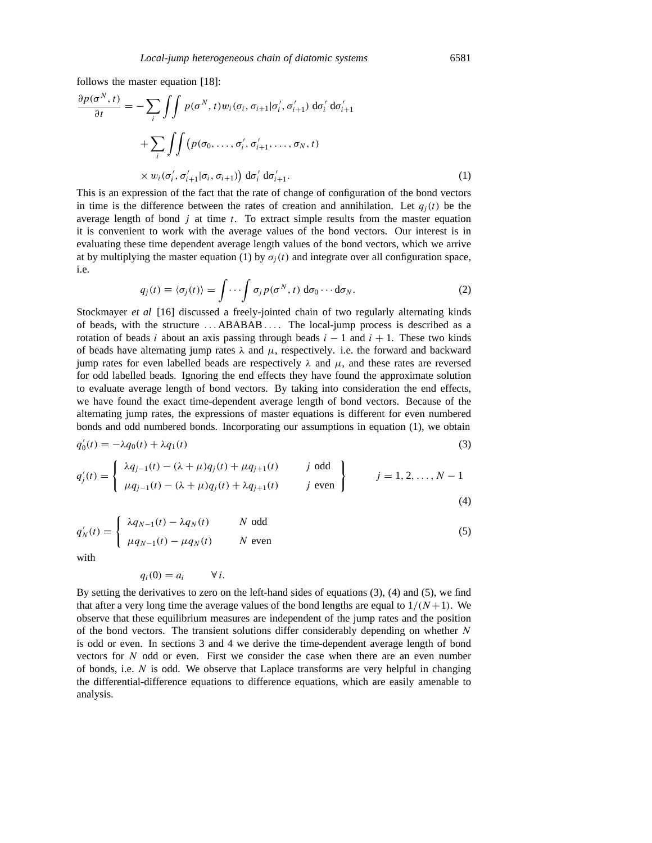follows the master equation [18]:

$$
\frac{\partial p(\sigma^N, t)}{\partial t} = -\sum_{i} \int \int p(\sigma^N, t) w_i(\sigma_i, \sigma_{i+1} | \sigma'_i, \sigma'_{i+1}) d\sigma'_i d\sigma'_{i+1}
$$

$$
+ \sum_{i} \int \int (p(\sigma_0, \dots, \sigma'_i, \sigma'_{i+1}, \dots, \sigma_N, t)
$$

$$
\times w_i(\sigma'_i, \sigma'_{i+1} | \sigma_i, \sigma_{i+1}) d\sigma'_i d\sigma'_{i+1}.
$$
 (1)

This is an expression of the fact that the rate of change of configuration of the bond vectors in time is the difference between the rates of creation and annihilation. Let  $q_i(t)$  be the average length of bond *j* at time *t*. To extract simple results from the master equation it is convenient to work with the average values of the bond vectors. Our interest is in evaluating these time dependent average length values of the bond vectors, which we arrive at by multiplying the master equation (1) by  $\sigma_i(t)$  and integrate over all configuration space, i.e.

$$
q_j(t) \equiv \langle \sigma_j(t) \rangle = \int \cdots \int \sigma_j p(\sigma^N, t) d\sigma_0 \cdots d\sigma_N.
$$
 (2)

Stockmayer *et al* [16] discussed a freely-jointed chain of two regularly alternating kinds of beads, with the structure *...* ABABAB *...* . The local-jump process is described as a rotation of beads *i* about an axis passing through beads  $i - 1$  and  $i + 1$ . These two kinds of beads have alternating jump rates  $\lambda$  and  $\mu$ , respectively. i.e. the forward and backward jump rates for even labelled beads are respectively  $\lambda$  and  $\mu$ , and these rates are reversed for odd labelled beads. Ignoring the end effects they have found the approximate solution to evaluate average length of bond vectors. By taking into consideration the end effects, we have found the exact time-dependent average length of bond vectors. Because of the alternating jump rates, the expressions of master equations is different for even numbered bonds and odd numbered bonds. Incorporating our assumptions in equation (1), we obtain

$$
q'_0(t) = -\lambda q_0(t) + \lambda q_1(t) \tag{3}
$$

$$
q'_{j}(t) = \begin{cases} \lambda q_{j-1}(t) - (\lambda + \mu)q_{j}(t) + \mu q_{j+1}(t) & j \text{ odd} \\ \mu q_{j-1}(t) - (\lambda + \mu)q_{j}(t) + \lambda q_{j+1}(t) & j \text{ even} \end{cases} \qquad j = 1, 2, ..., N-1
$$
\n(4)

$$
q'_{N}(t) = \begin{cases} \lambda q_{N-1}(t) - \lambda q_{N}(t) & N \text{ odd} \\ \mu q_{N-1}(t) - \mu q_{N}(t) & N \text{ even} \end{cases}
$$
(5)

with

$$
q_i(0) = a_i \qquad \forall i.
$$

By setting the derivatives to zero on the left-hand sides of equations (3), (4) and (5), we find that after a very long time the average values of the bond lengths are equal to  $1/(N+1)$ . We observe that these equilibrium measures are independent of the jump rates and the position of the bond vectors. The transient solutions differ considerably depending on whether *N* is odd or even. In sections 3 and 4 we derive the time-dependent average length of bond vectors for *N* odd or even. First we consider the case when there are an even number of bonds, i.e. *N* is odd. We observe that Laplace transforms are very helpful in changing the differential-difference equations to difference equations, which are easily amenable to analysis.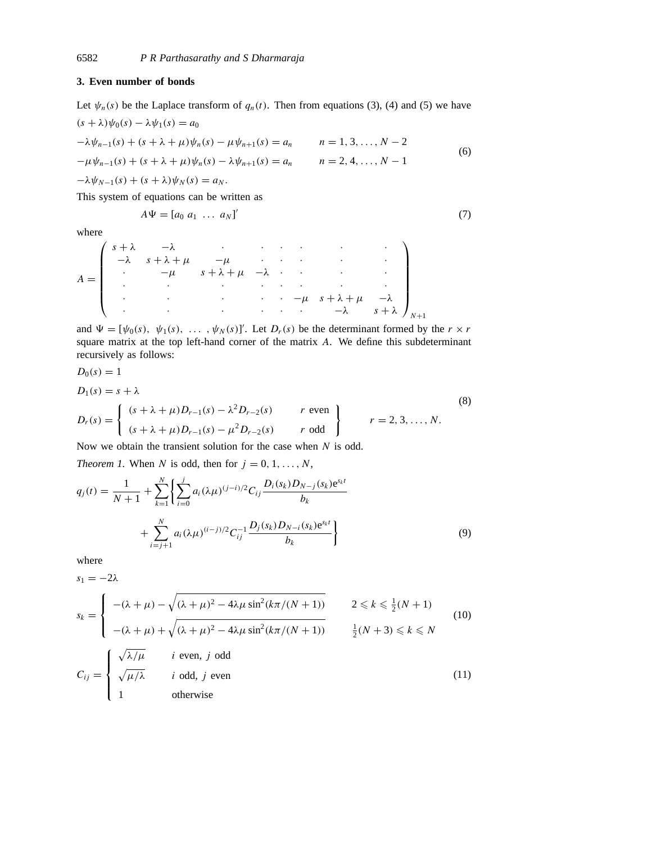## **3. Even number of bonds**

Let  $\psi_n(s)$  be the Laplace transform of  $q_n(t)$ . Then from equations (3), (4) and (5) we have  $(s + \lambda)\psi_0(s) - \lambda\psi_1(s) = a_0$ 

$$
-\lambda \psi_{n-1}(s) + (s + \lambda + \mu)\psi_n(s) - \mu \psi_{n+1}(s) = a_n \qquad n = 1, 3, ..., N - 2
$$
  

$$
-\mu \psi_{n-1}(s) + (s + \lambda + \mu)\psi_n(s) - \lambda \psi_{n+1}(s) = a_n \qquad n = 2, 4, ..., N - 1
$$
  

$$
-\lambda \psi_{N-1}(s) + (s + \lambda)\psi_N(s) = a_N.
$$
 (6)

This system of equations can be written as

$$
A\Psi = [a_0 \ a_1 \ \dots \ a_N]'
$$
\n<sup>(7)</sup>

where

$$
A = \begin{pmatrix} s+\lambda & -\lambda & \cdot & \cdot & \cdot & \cdot & \cdot & \cdot \\ -\lambda & s+\lambda+\mu & -\mu & \cdot & \cdot & \cdot & \cdot & \cdot \\ \cdot & -\mu & s+\lambda+\mu & -\lambda & \cdot & \cdot & \cdot & \cdot \\ \cdot & \cdot & \cdot & \cdot & \cdot & \cdot & \cdot & \cdot \\ \cdot & \cdot & \cdot & \cdot & \cdot & \cdot & \cdot & \cdot \\ \cdot & \cdot & \cdot & \cdot & \cdot & \cdot & \cdot & \cdot \\ \end{pmatrix}_{N+1}
$$

and  $\Psi = [\psi_0(s), \psi_1(s), \dots, \psi_N(s)]'$ . Let  $D_r(s)$  be the determinant formed by the  $r \times r$ square matrix at the top left-hand corner of the matrix *A*. We define this subdeterminant recursively as follows:

$$
D_0(s) = 1
$$
  
\n
$$
D_1(s) = s + \lambda
$$
  
\n
$$
D_r(s) = \begin{cases} (s + \lambda + \mu)D_{r-1}(s) - \lambda^2 D_{r-2}(s) & r \text{ even} \\ (s + \lambda + \mu)D_{r-1}(s) - \mu^2 D_{r-2}(s) & r \text{ odd} \end{cases}
$$
 (8)

Now we obtain the transient solution for the case when *N* is odd.

*Theorem 1.* When *N* is odd, then for  $j = 0, 1, \ldots, N$ ,

$$
q_j(t) = \frac{1}{N+1} + \sum_{k=1}^{N} \left\{ \sum_{i=0}^{j} a_i (\lambda \mu)^{(j-i)/2} C_{ij} \frac{D_i(s_k) D_{N-j}(s_k) e^{s_k t}}{b_k} + \sum_{i=j+1}^{N} a_i (\lambda \mu)^{(i-j)/2} C_{ij}^{-1} \frac{D_j(s_k) D_{N-i}(s_k) e^{s_k t}}{b_k} \right\}
$$
(9)

where

$$
s_1 = -2\lambda
$$
  
\n
$$
s_k = \begin{cases}\n-(\lambda + \mu) - \sqrt{(\lambda + \mu)^2 - 4\lambda\mu \sin^2(k\pi/(N+1))} & 2 \le k \le \frac{1}{2}(N+1) \\
-(\lambda + \mu) + \sqrt{(\lambda + \mu)^2 - 4\lambda\mu \sin^2(k\pi/(N+1))} & \frac{1}{2}(N+3) \le k \le N\n\end{cases}
$$
\n(10)  
\n
$$
C_{ij} = \begin{cases}\n\sqrt{\lambda/\mu} & i \text{ even, } j \text{ odd} \\
\sqrt{\mu/\lambda} & i \text{ odd, } j \text{ even} \\
1 & \text{otherwise}\n\end{cases}
$$
\n(11)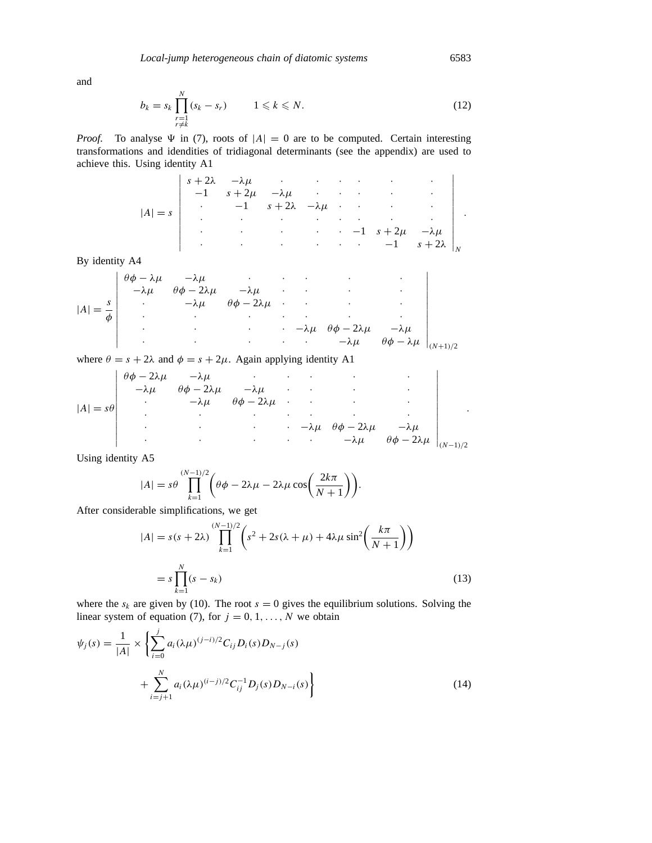and

$$
b_k = s_k \prod_{\substack{r=1\\r\neq k}}^N (s_k - s_r) \qquad 1 \leq k \leq N. \tag{12}
$$

*Proof.* To analyse  $\Psi$  in (7), roots of  $|A| = 0$  are to be computed. Certain interesting transformations and idendities of tridiagonal determinants (see the appendix) are used to achieve this. Using identity A1

$$
|A| = s \begin{vmatrix} s+2\lambda & -\lambda\mu & \cdot & \cdot & \cdot & \cdot & \cdot \\ -1 & s+2\mu & -\lambda\mu & \cdot & \cdot & \cdot & \cdot \\ \cdot & -1 & s+2\lambda & -\lambda\mu & \cdot & \cdot & \cdot & \cdot \\ \cdot & \cdot & \cdot & \cdot & \cdot & \cdot & \cdot & \cdot \\ \cdot & \cdot & \cdot & \cdot & \cdot & \cdot & \cdot & \cdot \\ \cdot & \cdot & \cdot & \cdot & \cdot & \cdot & \cdot & \cdot \\ \cdot & \cdot & \cdot & \cdot & \cdot & \cdot & \cdot & \cdot \\ \end{vmatrix}.
$$

By identity A4

$$
|A| = \frac{s}{\phi} \begin{vmatrix} \theta\phi - \lambda\mu & -\lambda\mu & \cdot & \cdot & \cdot & \cdot \\ -\lambda\mu & \theta\phi - 2\lambda\mu & -\lambda\mu & \cdot & \cdot & \cdot \\ \cdot & \cdot & -\lambda\mu & \theta\phi - 2\lambda\mu & \cdot & \cdot & \cdot \\ \cdot & \cdot & \cdot & \cdot & \cdot & \cdot & \cdot \\ \cdot & \cdot & \cdot & \cdot & \cdot & \cdot & \cdot \\ \cdot & \cdot & \cdot & \cdot & \cdot & \cdot & \cdot \\ \cdot & \cdot & \cdot & \cdot & \cdot & \cdot & \cdot \\ \end{vmatrix}_{(N+1)/2}
$$

where  $\theta = s + 2\lambda$  and  $\phi = s + 2\mu$ . Again applying identity A1

$$
|A| = s\theta \begin{vmatrix} \theta\phi - 2\lambda\mu & -\lambda\mu & \cdot & \cdot & \cdot \\ -\lambda\mu & \theta\phi - 2\lambda\mu & -\lambda\mu & \cdot & \cdot \\ \cdot & -\lambda\mu & \theta\phi - 2\lambda\mu & \cdot & \cdot \\ \cdot & \cdot & \cdot & \cdot & \cdot \\ \cdot & \cdot & \cdot & \cdot & \cdot \\ \cdot & \cdot & \cdot & \cdot & \cdot \\ \cdot & \cdot & \cdot & \cdot & \cdot \\ \end{vmatrix}_{(N-1)/2}
$$

Using identity A5

$$
|A| = s\theta \prod_{k=1}^{(N-1)/2} \left(\theta \phi - 2\lambda \mu - 2\lambda \mu \cos\left(\frac{2k\pi}{N+1}\right)\right).
$$

After considerable simplifications, we get

$$
|A| = s(s + 2\lambda) \prod_{k=1}^{(N-1)/2} \left( s^2 + 2s(\lambda + \mu) + 4\lambda\mu \sin^2\left(\frac{k\pi}{N+1}\right) \right)
$$
  
=  $s \prod_{k=1}^{N} (s - s_k)$  (13)

where the  $s_k$  are given by (10). The root  $s = 0$  gives the equilibrium solutions. Solving the linear system of equation (7), for  $j = 0, 1, \ldots, N$  we obtain

$$
\psi_j(s) = \frac{1}{|A|} \times \left\{ \sum_{i=0}^j a_i (\lambda \mu)^{(j-i)/2} C_{ij} D_i(s) D_{N-j}(s) + \sum_{i=j+1}^N a_i (\lambda \mu)^{(i-j)/2} C_{ij}^{-1} D_j(s) D_{N-i}(s) \right\}
$$
\n(14)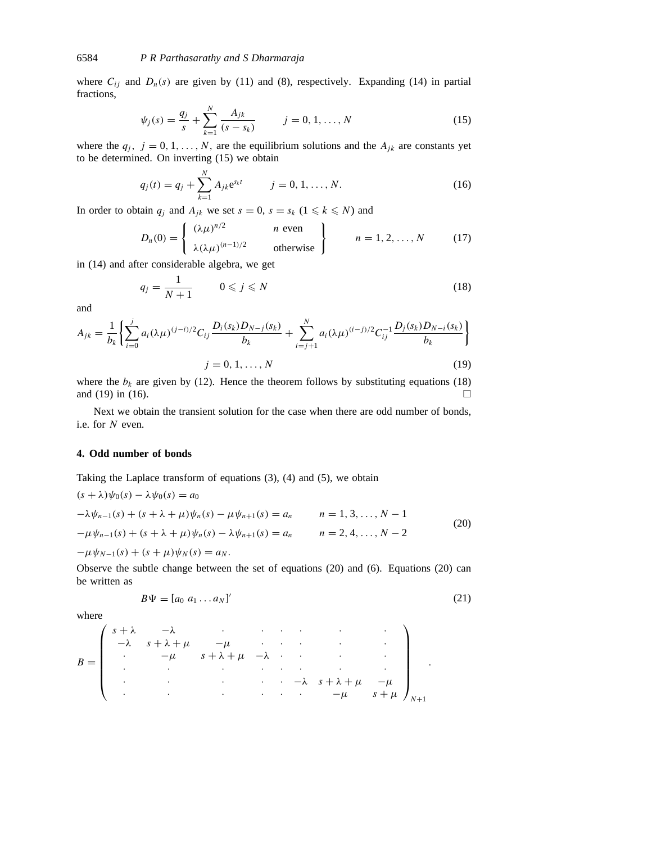where  $C_{ij}$  and  $D_n(s)$  are given by (11) and (8), respectively. Expanding (14) in partial fractions,

$$
\psi_j(s) = \frac{q_j}{s} + \sum_{k=1}^N \frac{A_{jk}}{(s - s_k)} \qquad j = 0, 1, ..., N \qquad (15)
$$

where the  $q_j$ ,  $j = 0, 1, \ldots, N$ , are the equilibrium solutions and the  $A_{jk}$  are constants yet to be determined. On inverting (15) we obtain

$$
q_j(t) = q_j + \sum_{k=1}^{N} A_{jk} e^{s_k t} \qquad j = 0, 1, ..., N.
$$
 (16)

In order to obtain  $q_i$  and  $A_{jk}$  we set  $s = 0$ ,  $s = s_k$  ( $1 \le k \le N$ ) and

$$
D_n(0) = \begin{cases} (\lambda \mu)^{n/2} & n \text{ even} \\ \lambda (\lambda \mu)^{(n-1)/2} & \text{otherwise} \end{cases} \qquad n = 1, 2, ..., N \qquad (17)
$$

in (14) and after considerable algebra, we get

$$
q_j = \frac{1}{N+1} \qquad 0 \leqslant j \leqslant N \tag{18}
$$

and

$$
A_{jk} = \frac{1}{b_k} \left\{ \sum_{i=0}^{j} a_i (\lambda \mu)^{(j-i)/2} C_{ij} \frac{D_i(s_k) D_{N-j}(s_k)}{b_k} + \sum_{i=j+1}^{N} a_i (\lambda \mu)^{(i-j)/2} C_{ij}^{-1} \frac{D_j(s_k) D_{N-i}(s_k)}{b_k} \right\}
$$
  

$$
j = 0, 1, ..., N
$$
 (19)

where the  $b_k$  are given by (12). Hence the theorem follows by substituting equations (18) and (19) in (16).  $\Box$ 

Next we obtain the transient solution for the case when there are odd number of bonds, i.e. for *N* even.

## **4. Odd number of bonds**

Taking the Laplace transform of equations (3), (4) and (5), we obtain

$$
(s + \lambda)\psi_0(s) - \lambda\psi_0(s) = a_0
$$
  
\n
$$
-\lambda\psi_{n-1}(s) + (s + \lambda + \mu)\psi_n(s) - \mu\psi_{n+1}(s) = a_n
$$
  
\n
$$
- \mu\psi_{n-1}(s) + (s + \lambda + \mu)\psi_n(s) - \lambda\psi_{n+1}(s) = a_n
$$
  
\n
$$
n = 2, 4, ..., N - 2
$$
  
\n
$$
- \mu\psi_{N-1}(s) + (s + \mu)\psi_N(s) = a_N.
$$
\n(20)

Observe the subtle change between the set of equations (20) and (6). Equations (20) can be written as

$$
B\Psi = [a_0 \ a_1 \dots a_N]'
$$
 (21)

where

$$
B = \begin{pmatrix} s+\lambda & -\lambda & \cdot & \cdot & \cdot & \cdot & \cdot & \cdot \\ -\lambda & s+\lambda+\mu & -\mu & \cdot & \cdot & \cdot & \cdot & \cdot \\ \cdot & -\mu & s+\lambda+\mu & -\lambda & \cdot & \cdot & \cdot & \cdot \\ \cdot & \cdot & \cdot & \cdot & \cdot & \cdot & \cdot & \cdot \\ \cdot & \cdot & \cdot & \cdot & \cdot & \cdot & \cdot & \cdot \\ \cdot & \cdot & \cdot & \cdot & \cdot & \cdot & \cdot & \cdot \\ \end{pmatrix}_{N+1}.
$$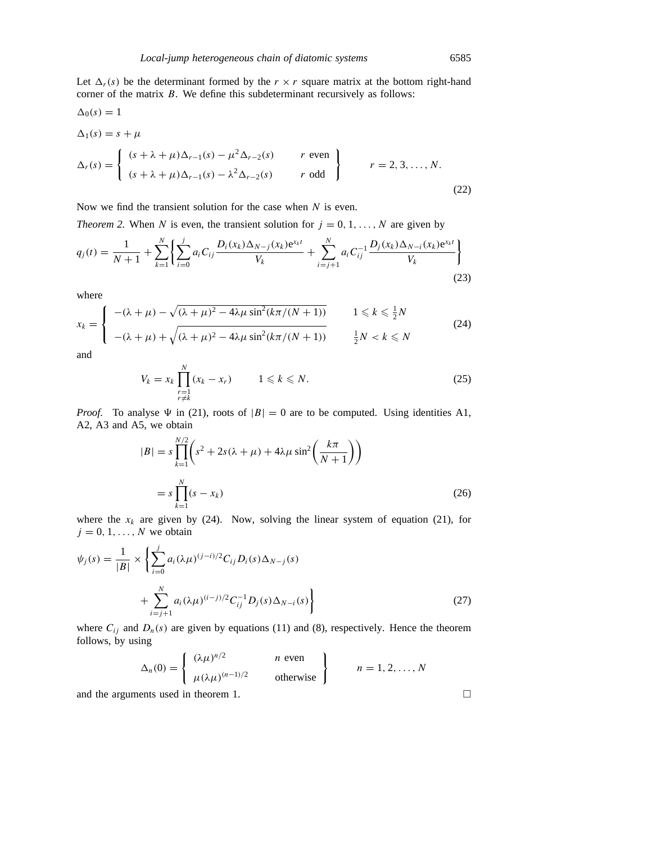Let  $\Delta_r(s)$  be the determinant formed by the  $r \times r$  square matrix at the bottom right-hand corner of the matrix *B*. We define this subdeterminant recursively as follows:

$$
\Delta_0(s) = 1
$$
\n
$$
\Delta_1(s) = s + \mu
$$
\n
$$
\Delta_r(s) = \begin{cases}\n(s + \lambda + \mu)\Delta_{r-1}(s) - \mu^2 \Delta_{r-2}(s) & r \text{ even} \\
(s + \lambda + \mu)\Delta_{r-1}(s) - \lambda^2 \Delta_{r-2}(s) & r \text{ odd}\n\end{cases}
$$
\n
$$
r = 2, 3, ..., N.
$$
\n(22)

Now we find the transient solution for the case when *N* is even.

*Theorem 2.* When *N* is even, the transient solution for  $j = 0, 1, \ldots, N$  are given by

$$
q_j(t) = \frac{1}{N+1} + \sum_{k=1}^{N} \left\{ \sum_{i=0}^{j} a_i C_{ij} \frac{D_i(x_k) \Delta_{N-j}(x_k) e^{x_k t}}{V_k} + \sum_{i=j+1}^{N} a_i C_{ij}^{-1} \frac{D_j(x_k) \Delta_{N-i}(x_k) e^{x_k t}}{V_k} \right\}
$$
(23)

where

$$
x_k = \begin{cases} -(\lambda + \mu) - \sqrt{(\lambda + \mu)^2 - 4\lambda\mu \sin^2(k\pi/(N+1))} & 1 \leq k \leq \frac{1}{2}N \\ -(\lambda + \mu) + \sqrt{(\lambda + \mu)^2 - 4\lambda\mu \sin^2(k\pi/(N+1))} & \frac{1}{2}N < k \leq N \end{cases} \tag{24}
$$

and

$$
V_k = x_k \prod_{\substack{r=1 \ r \neq k}}^N (x_k - x_r) \qquad 1 \leq k \leq N. \tag{25}
$$

*Proof.* To analyse  $\Psi$  in (21), roots of  $|B| = 0$  are to be computed. Using identities A1, A2, A3 and A5, we obtain

$$
|B| = s \prod_{k=1}^{N/2} \left( s^2 + 2s(\lambda + \mu) + 4\lambda\mu \sin^2\left(\frac{k\pi}{N+1}\right) \right)
$$
  
=  $s \prod_{k=1}^{N} (s - x_k)$  (26)

where the  $x_k$  are given by (24). Now, solving the linear system of equation (21), for  $j = 0, 1, \ldots, N$  we obtain

$$
\psi_j(s) = \frac{1}{|B|} \times \left\{ \sum_{i=0}^j a_i (\lambda \mu)^{(j-i)/2} C_{ij} D_i(s) \Delta_{N-j}(s) + \sum_{i=j+1}^N a_i (\lambda \mu)^{(i-j)/2} C_{ij}^{-1} D_j(s) \Delta_{N-i}(s) \right\}
$$
\n(27)

where  $C_{ij}$  and  $D_n(s)$  are given by equations (11) and (8), respectively. Hence the theorem follows, by using

$$
\Delta_n(0) = \begin{cases}\n(\lambda \mu)^{n/2} & n \text{ even} \\
\mu (\lambda \mu)^{(n-1)/2} & \text{otherwise}\n\end{cases}
$$
\n $n = 1, 2, ..., N$ 

and the arguments used in theorem 1.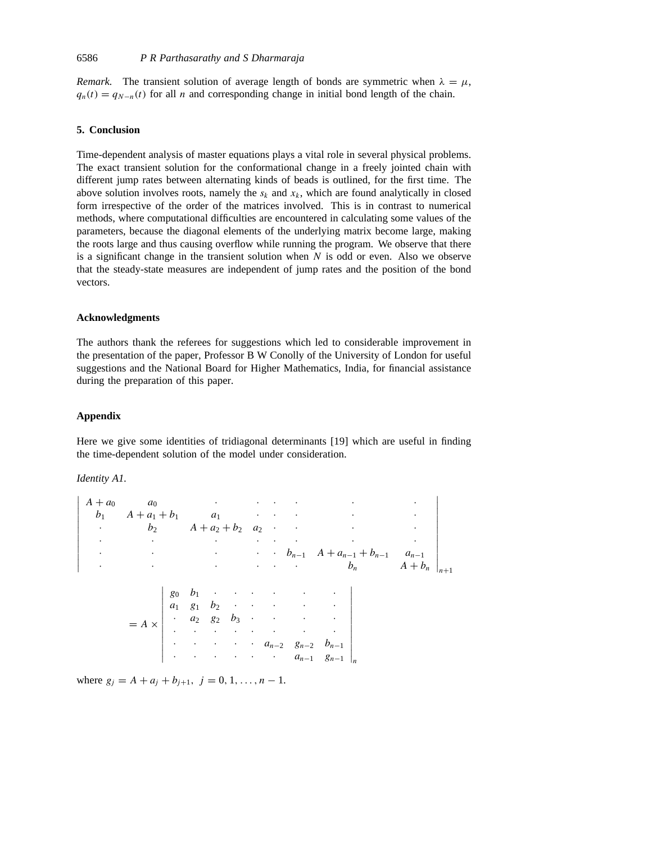*Remark.* The transient solution of average length of bonds are symmetric when  $\lambda = \mu$ ,  $q_n(t) = q_{N-n}(t)$  for all *n* and corresponding change in initial bond length of the chain.

## **5. Conclusion**

Time-dependent analysis of master equations plays a vital role in several physical problems. The exact transient solution for the conformational change in a freely jointed chain with different jump rates between alternating kinds of beads is outlined, for the first time. The above solution involves roots, namely the  $s_k$  and  $x_k$ , which are found analytically in closed form irrespective of the order of the matrices involved. This is in contrast to numerical methods, where computational difficulties are encountered in calculating some values of the parameters, because the diagonal elements of the underlying matrix become large, making the roots large and thus causing overflow while running the program. We observe that there is a significant change in the transient solution when *N* is odd or even. Also we observe that the steady-state measures are independent of jump rates and the position of the bond vectors.

#### **Acknowledgments**

The authors thank the referees for suggestions which led to considerable improvement in the presentation of the paper, Professor B W Conolly of the University of London for useful suggestions and the National Board for Higher Mathematics, India, for financial assistance during the preparation of this paper.

## **Appendix**

Here we give some identities of tridiagonal determinants [19] which are useful in finding the time-dependent solution of the model under consideration.

*Identity A1.*

 $\overline{\phantom{a}}$  $\overline{\phantom{a}}$  $\overline{\phantom{a}}$  $\overline{\phantom{a}}$  $\overline{\phantom{a}}$  $\overline{\phantom{a}}$  $\overline{\phantom{a}}$  $\overline{\phantom{a}}$  $\overline{\phantom{a}}$  $\overline{\phantom{a}}$  $\overline{\phantom{a}}$  $\overline{a}$ *A* + *a*<sup>0</sup> *a*<sup>0</sup> · ·· · · · *b*<sup>1</sup> *A* + *a*<sup>1</sup> + *b*<sup>1</sup> *a*<sup>1</sup> ·· · · · · *b*<sup>2</sup> *A* + *a*<sup>2</sup> + *b*<sup>2</sup> *a*<sup>2</sup> ·· · · · · · ·· · · · • **·**  $b_{n-1}$   $A + a_{n-1} + b_{n-1}$   $a_{n-1}$  $\cdot$  **bn**  $A + b_n$ |<br>|<br>|<br>|<br>|<br>|<br>|<br>|  $= A \times$   $g_0$   $b_1$  · · · · · · · *a*<sup>1</sup> *g*<sup>1</sup> *b*<sup>2</sup> ·· · · ·  $\cdot$   $a_2$   $g_2$   $b_3$  · · · · · · · · ·· · · · • • • • *a***<sub>n−2</sub>**  $g_{n-2}$   $b_{n-1}$ · · · ·· · *an*<sup>−</sup><sup>1</sup> *gn*<sup>−</sup><sup>1</sup> *n*

where  $g_j = A + a_j + b_{j+1}, j = 0, 1, \ldots, n - 1.$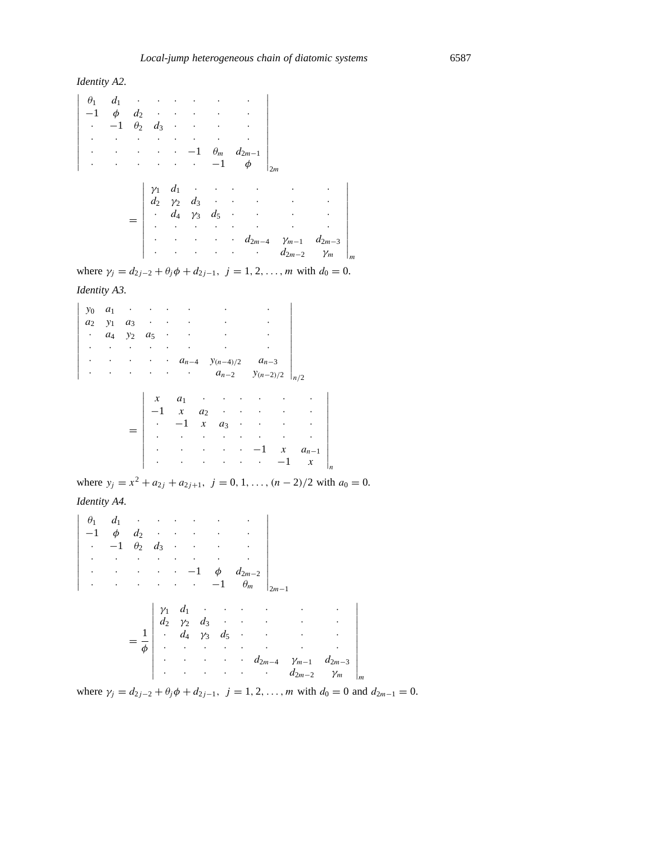*Identity A2.*

$$
\begin{vmatrix}\n\theta_1 & d_1 & \cdots & \cdots & \cdots \\
-1 & \phi & d_2 & \cdots & \cdots & \cdots \\
\vdots & \vdots & \vdots & \ddots & \vdots & \vdots \\
\vdots & \vdots & \vdots & \ddots & \vdots & \vdots \\
\vdots & \vdots & \vdots & \vdots & \vdots \\
\theta_2 & \gamma_2 & d_3 & \cdots & \cdots \\
\vdots & \vdots & \vdots & \vdots & \vdots & \vdots \\
\vdots & \vdots & \vdots & \vdots & \vdots & \vdots \\
\vdots & \vdots & \vdots & \vdots & \vdots & \vdots \\
\vdots & \vdots & \vdots & \vdots & \vdots & \vdots \\
\vdots & \vdots & \vdots & \vdots & \vdots & \vdots \\
\vdots & \vdots & \vdots & \vdots & \vdots & \vdots \\
\vdots & \vdots & \vdots & \vdots & \vdots & \vdots \\
\vdots & \vdots & \vdots & \vdots & \vdots & \vdots \\
\vdots & \vdots & \vdots & \vdots & \vdots & \vdots \\
\vdots & \vdots & \vdots & \vdots & \vdots & \vdots \\
\vdots & \vdots & \vdots & \vdots & \vdots \\
\vdots & \vdots & \vdots & \vdots & \vdots \\
\vdots & \vdots & \vdots & \vdots & \vdots \\
\vdots & \vdots & \vdots & \vdots & \vdots \\
\vdots & \vdots & \vdots & \vdots & \vdots \\
\vdots & \vdots & \vdots & \vdots & \vdots \\
\vdots & \vdots & \vdots & \vdots & \vdots \\
\vdots & \vdots & \vdots & \vdots & \vdots \\
\vdots & \vdots & \vdots & \vdots & \vdots \\
\vdots & \vdots & \vdots & \vdots & \vdots \\
\vdots & \vdots & \vdots & \vdots & \vdots \\
\vdots & \vdots & \vdots & \vdots & \vdots \\
\vdots & \vdots & \vdots & \vdots & \vdots \\
\vdots & \vdots & \vdots & \vdots & \vdots \\
\vdots & \vdots & \vdots & \vdots & \vdots \\
\vdots & \vdots & \vdots & \vdots & \vdots \\
\vdots & \vdots & \vdots & \vdots & \vdots \\
\vdots & \vdots & \vdots & \vdots & \vdots \\
\vdots & \vdots & \vdots & \vdots & \vdots \\
$$

where  $\gamma_j = d_{2j-2} + \theta_j \phi + d_{2j-1}, \ j = 1, 2, \dots, m$  with  $d_0 = 0$ .

*Identity A3.*

 

```
y_0 a_1 · · · · · · · · · ·
a2 y1 a3 ·· · · ·
\cdot a_4 y_2 a_5 · · · · ·
· · · ·· · · ·
• · · · a<sub>n−4</sub> y_{(n-4)/2} a<sub>n−3</sub>
· · · ·· · an−2 y(n−2)/2
                                    


n/2
       =
          

           x \quad a_1 · · · · · · ·
           -1 x a_2 · · · · ·
            \cdot -1 x a_3 ········
            · · · ·· · · ·
            · · · · · · · -1 x a_{n-1}· · · ·· · −1 x
                                          


n
```
where  $y_j = x^2 + a_{2j} + a_{2j+1}, \ j = 0, 1, \ldots, (n-2)/2$  with  $a_0 = 0$ .

*Identity A4.*

$$
\begin{vmatrix}\n\theta_1 & d_1 & \cdots & \cdots & \cdots & \cdots \\
-1 & \phi & d_2 & \cdots & \cdots & \cdots \\
\vdots & \vdots & \vdots & \ddots & \vdots & \vdots \\
\vdots & \vdots & \vdots & \ddots & \vdots & \vdots \\
\vdots & \vdots & \vdots & \ddots & \vdots & \vdots \\
\theta_n & d_2 & \gamma_2 & d_3 & \cdots & \cdots & \cdots \\
\vdots & d_2 & \gamma_2 & d_3 & \cdots & \cdots & \cdots \\
\vdots & \vdots & \vdots & \vdots & \ddots & \vdots & \vdots \\
\vdots & \vdots & \vdots & \vdots & \vdots & \ddots & \vdots \\
\vdots & \vdots & \vdots & \vdots & \vdots & \vdots \\
\vdots & \vdots & \vdots & \vdots & \vdots & \vdots \\
\vdots & \vdots & \vdots & \vdots & \vdots & \vdots \\
\theta_{2m-4} & \gamma_{m-1} & d_{2m-3} & \gamma_m\n\end{vmatrix}_{m}
$$

where  $\gamma_i = d_{2i-2} + \theta_i \phi + d_{2i-1}, i = 1, 2, ..., m$  with  $d_0 = 0$  and  $d_{2m-1} = 0$ .